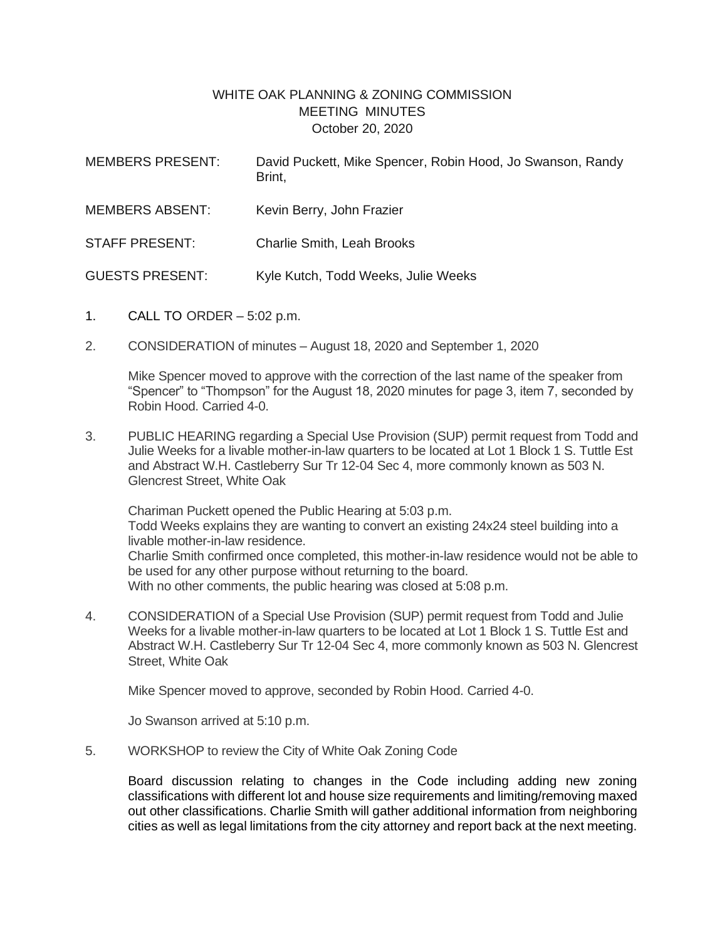## WHITE OAK PLANNING & ZONING COMMISSION MEETING MINUTES October 20, 2020

| <b>MEMBERS PRESENT:</b> | David Puckett, Mike Spencer, Robin Hood, Jo Swanson, Randy<br>Brint, |
|-------------------------|----------------------------------------------------------------------|
| <b>MEMBERS ABSENT:</b>  | Kevin Berry, John Frazier                                            |
| <b>STAFF PRESENT:</b>   | <b>Charlie Smith, Leah Brooks</b>                                    |
| <b>GUESTS PRESENT:</b>  | Kyle Kutch, Todd Weeks, Julie Weeks                                  |

- 1. CALL TO ORDER 5:02 p.m.
- 2. CONSIDERATION of minutes August 18, 2020 and September 1, 2020

Mike Spencer moved to approve with the correction of the last name of the speaker from "Spencer" to "Thompson" for the August 18, 2020 minutes for page 3, item 7, seconded by Robin Hood. Carried 4-0.

3. PUBLIC HEARING regarding a Special Use Provision (SUP) permit request from Todd and Julie Weeks for a livable mother-in-law quarters to be located at Lot 1 Block 1 S. Tuttle Est and Abstract W.H. Castleberry Sur Tr 12-04 Sec 4, more commonly known as 503 N. Glencrest Street, White Oak

Chariman Puckett opened the Public Hearing at 5:03 p.m. Todd Weeks explains they are wanting to convert an existing 24x24 steel building into a livable mother-in-law residence. Charlie Smith confirmed once completed, this mother-in-law residence would not be able to be used for any other purpose without returning to the board. With no other comments, the public hearing was closed at 5:08 p.m.

4. CONSIDERATION of a Special Use Provision (SUP) permit request from Todd and Julie Weeks for a livable mother-in-law quarters to be located at Lot 1 Block 1 S. Tuttle Est and Abstract W.H. Castleberry Sur Tr 12-04 Sec 4, more commonly known as 503 N. Glencrest Street, White Oak

Mike Spencer moved to approve, seconded by Robin Hood. Carried 4-0.

Jo Swanson arrived at 5:10 p.m.

5. WORKSHOP to review the City of White Oak Zoning Code

Board discussion relating to changes in the Code including adding new zoning classifications with different lot and house size requirements and limiting/removing maxed out other classifications. Charlie Smith will gather additional information from neighboring cities as well as legal limitations from the city attorney and report back at the next meeting.